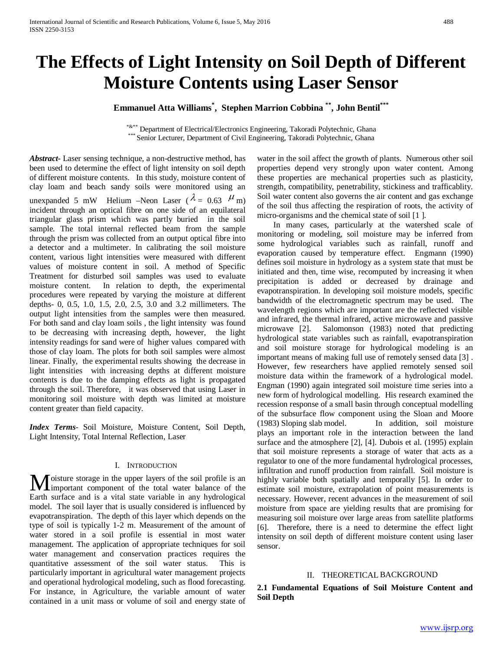# **The Effects of Light Intensity on Soil Depth of Different Moisture Contents using Laser Sensor**

**Emmanuel Atta Williams\* , Stephen Marrion Cobbina \*\*, John Bentil\*\*\***

\*&\*\* Department of Electrical/Electronics Engineering, Takoradi Polytechnic, Ghana \*\*\* Senior Lecturer, Department of Civil Engineering, Takoradi Polytechnic, Ghana

*Abstract***-** Laser sensing technique, a non-destructive method, has been used to determine the effect of light intensity on soil depth of different moisture contents. In this study, moisture content of clay loam and beach sandy soils were monitored using an unexpanded 5 mW Helium –Neon Laser ( $\lambda = 0.63$   $\mu$  m) incident through an optical fibre on one side of an equilateral triangular glass prism which was partly buried in the soil sample. The total internal reflected beam from the sample through the prism was collected from an output optical fibre into a detector and a multimeter. In calibrating the soil moisture content, various light intensities were measured with different values of moisture content in soil. A method of Specific Treatment for disturbed soil samples was used to evaluate moisture content. In relation to depth, the experimental procedures were repeated by varying the moisture at different depths- 0, 0.5, 1.0, 1.5, 2.0, 2.5, 3.0 and 3.2 millimeters. The output light intensities from the samples were then measured. For both sand and clay loam soils , the light intensity was found to be decreasing with increasing depth, however, the light intensity readings for sand were of higher values compared with those of clay loam. The plots for both soil samples were almost linear. Finally, the experimental results showing the decrease in light intensities with increasing depths at different moisture contents is due to the damping effects as light is propagated through the soil. Therefore, it was observed that using Laser in monitoring soil moisture with depth was limited at moisture content greater than field capacity.

*Index Terms*- Soil Moisture, Moisture Content, Soil Depth, Light Intensity, Total Internal Reflection, Laser

## I. INTRODUCTION

oisture storage in the upper layers of the soil profile is an **M** oisture storage in the upper layers of the soil profile is an important component of the total water balance of the Earth surface and is a vital state variable in any hydrological model. The soil layer that is usually considered is influenced by evapotranspiration. The depth of this layer which depends on the type of soil is typically 1-2 m. Measurement of the amount of water stored in a soil profile is essential in most water management. The application of appropriate techniques for soil water management and conservation practices requires the quantitative assessment of the soil water status. This is particularly important in agricultural water management projects and operational hydrological modeling, such as flood forecasting. For instance, in Agriculture, the variable amount of water contained in a unit mass or volume of soil and energy state of

water in the soil affect the growth of plants. Numerous other soil properties depend very strongly upon water content. Among these properties are mechanical properties such as plasticity, strength, compatibility, penetrability, stickiness and trafficablity. Soil water content also governs the air content and gas exchange of the soil thus affecting the respiration of roots, the activity of micro-organisms and the chemical state of soil [1 ].

 In many cases, particularly at the watershed scale of monitoring or modeling, soil moisture may be inferred from some hydrological variables such as rainfall, runoff and evaporation caused by temperature effect. Engmann (1990) defines soil moisture in hydrology as a system state that must be initiated and then, time wise, recomputed by increasing it when precipitation is added or decreased by drainage and evapotranspiration. In developing soil moisture models, specific bandwidth of the electromagnetic spectrum may be used. The wavelength regions which are important are the reflected visible and infrared, the thermal infrared, active microwave and passive microwave [2]. Salomonson (1983) noted that predicting hydrological state variables such as rainfall, evapotranspiration and soil moisture storage for hydrological modeling is an important means of making full use of remotely sensed data [3] . However, few researchers have applied remotely sensed soil moisture data within the framework of a hydrological model. Engman (1990) again integrated soil moisture time series into a new form of hydrological modelling. His research examined the recession response of a small basin through conceptual modelling of the subsurface flow component using the Sloan and Moore (1983) Sloping slab model. In addition, soil moisture plays an important role in the interaction between the land surface and the atmosphere [2], [4]. Dubois et al. (1995) explain that soil moisture represents a storage of water that acts as a regulator to one of the more fundamental hydrological processes, infiltration and runoff production from rainfall. Soil moisture is highly variable both spatially and temporally [5]. In order to estimate soil moisture, extrapolation of point measurements is necessary. However, recent advances in the measurement of soil moisture from space are yielding results that are promising for measuring soil moisture over large areas from satellite platforms [6]. Therefore, there is a need to determine the effect light intensity on soil depth of different moisture content using laser sensor.

#### II. THEORETICAL BACKGROUND

**2.1 Fundamental Equations of Soil Moisture Content and Soil Depth**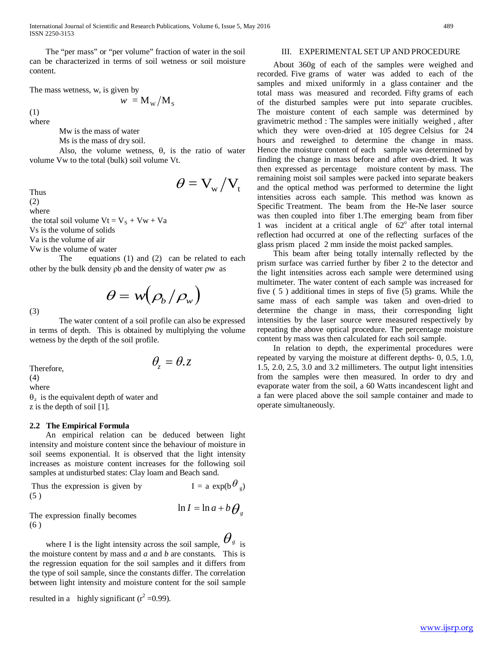International Journal of Scientific and Research Publications, Volume 6, Issue 5, May 2016 489 ISSN 2250-3153

 The "per mass" or "per volume" fraction of water in the soil can be characterized in terms of soil wetness or soil moisture content.

The mass wetness, w, is given by

(1)  $w = M_w / M_s$ 

where

Mw is the mass of water

Ms is the mass of dry soil.

Also, the volume wetness,  $\theta$ , is the ratio of water volume Vw to the total (bulk) soil volume Vt.

Thus  $\theta = V_{\rm w}/V_{\rm t}$ 

(2)

where

the total soil volume  $Vt = V<sub>S</sub> + Vw + Va$ 

Vs is the volume of solids

Va is the volume of air

Vw is the volume of water

The equations (1) and (2) can be related to each other by the bulk density ρb and the density of water ρw as

$$
\theta = w(\rho_b/\rho_w)
$$

The water content of a soil profile can also be expressed in terms of depth. This is obtained by multiplying the volume wetness by the depth of the soil profile.

Therefore,  $\theta_z = \theta$ ,  $z$ (4) where

 $\theta$ <sub>z</sub> is the equivalent depth of water and z is the depth of soil [1].

#### **2.2 The Empirical Formula**

 An empirical relation can be deduced between light intensity and moisture content since the behaviour of moisture in soil seems exponential. It is observed that the light intensity increases as moisture content increases for the following soil samples at undisturbed states: Clay loam and Beach sand.

| Thus the expression is given by | $I = a \exp(b \theta_{g})$ |
|---------------------------------|----------------------------|
| (5)                             |                            |
|                                 | $1.7 \quad 1.7 \quad 1.7$  |

The expression finally becomes  $\ln I = \ln a + b \theta_g$ (6 )

where I is the light intensity across the soil sample,  $\sigma_{g}$  is the moisture content by mass and *a* and *b* are constants. This is the regression equation for the soil samples and it differs from the type of soil sample, since the constants differ. The correlation between light intensity and moisture content for the soil sample

resulted in a highly significant 
$$
(r^2 = 0.99)
$$
.

## III. EXPERIMENTAL SET UP AND PROCEDURE

 About 360g of each of the samples were weighed and recorded. Five grams of water was added to each of the samples and mixed uniformly in a glass container and the total mass was measured and recorded. Fifty grams of each of the disturbed samples were put into separate crucibles. The moisture content of each sample was determined by gravimetric method : The samples were initially weighed , after which they were oven-dried at 105 degree Celsius for 24 hours and reweighed to determine the change in mass. Hence the moisture content of each sample was determined by finding the change in mass before and after oven-dried. It was then expressed as percentage moisture content by mass. The remaining moist soil samples were packed into separate beakers and the optical method was performed to determine the light intensities across each sample. This method was known as Specific Treatment. The beam from the He-Ne laser source was then coupled into fiber 1.The emerging beam from fiber 1 was incident at a critical angle of  $62^\circ$  after total internal reflection had occurred at one of the reflecting surfaces of the glass prism placed 2 mm inside the moist packed samples.

 This beam after being totally internally reflected by the prism surface was carried further by fiber 2 to the detector and the light intensities across each sample were determined using multimeter. The water content of each sample was increased for five ( 5 ) additional times in steps of five (5) grams. While the same mass of each sample was taken and oven-dried to determine the change in mass, their corresponding light intensities by the laser source were measured respectively by repeating the above optical procedure. The percentage moisture content by mass was then calculated for each soil sample.

 In relation to depth, the experimental procedures were repeated by varying the moisture at different depths- 0, 0.5, 1.0, 1.5, 2.0, 2.5, 3.0 and 3.2 millimeters. The output light intensities from the samples were then measured. In order to dry and evaporate water from the soil, a 60 Watts incandescent light and a fan were placed above the soil sample container and made to operate simultaneously.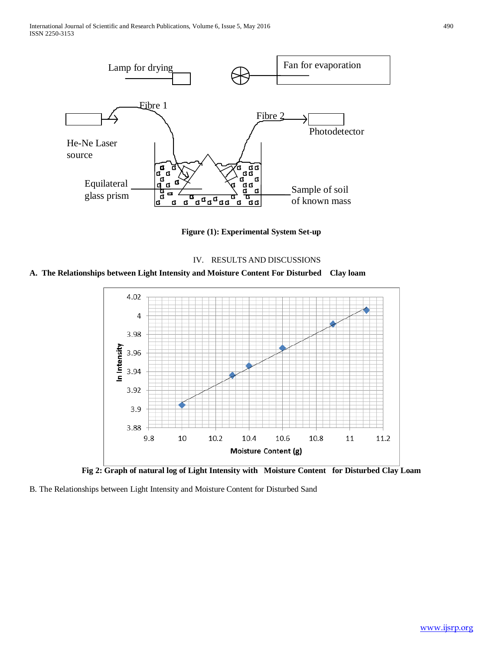

**Figure (1): Experimental System Set-up**



**A. The Relationships between Light Intensity and Moisture Content For Disturbed Clay loam** 



**Fig 2: Graph of natural log of Light Intensity with Moisture Content for Disturbed Clay Loam**

B. The Relationships between Light Intensity and Moisture Content for Disturbed Sand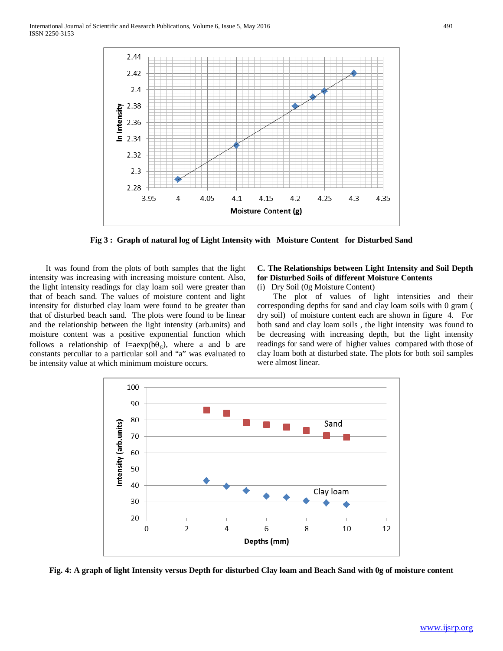

**Fig 3 : Graph of natural log of Light Intensity with Moisture Content for Disturbed Sand**

 It was found from the plots of both samples that the light intensity was increasing with increasing moisture content. Also, the light intensity readings for clay loam soil were greater than that of beach sand. The values of moisture content and light intensity for disturbed clay loam were found to be greater than that of disturbed beach sand. The plots were found to be linear and the relationship between the light intensity (arb.units) and moisture content was a positive exponential function which follows a relationship of I=aexp( $b\theta$ <sub>v</sub>), where a and b are constants perculiar to a particular soil and "a" was evaluated to be intensity value at which minimum moisture occurs.

## **C. The Relationships between Light Intensity and Soil Depth for Disturbed Soils of different Moisture Contents**

(i) Dry Soil (0g Moisture Content)

 The plot of values of light intensities and their corresponding depths for sand and clay loam soils with 0 gram ( dry soil) of moisture content each are shown in figure 4. For both sand and clay loam soils , the light intensity was found to be decreasing with increasing depth, but the light intensity readings for sand were of higher values compared with those of clay loam both at disturbed state. The plots for both soil samples were almost linear.



**Fig. 4: A graph of light Intensity versus Depth for disturbed Clay loam and Beach Sand with 0g of moisture content**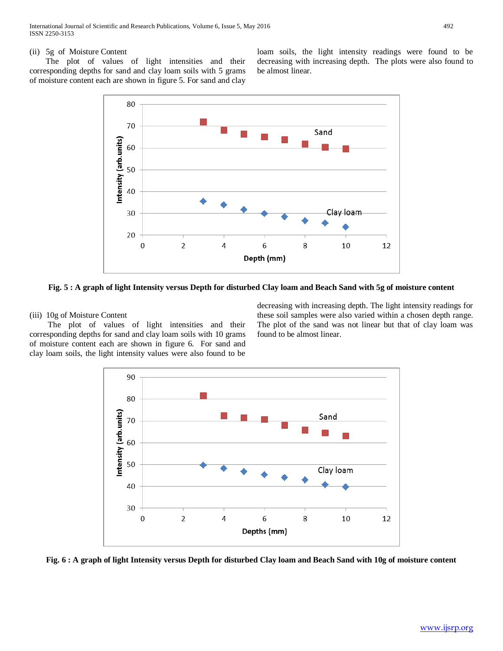## (ii) 5g of Moisture Content

 The plot of values of light intensities and their corresponding depths for sand and clay loam soils with 5 grams of moisture content each are shown in figure 5. For sand and clay



**Fig. 5 : A graph of light Intensity versus Depth for disturbed Clay loam and Beach Sand with 5g of moisture content**

## (iii) 10g of Moisture Content

 The plot of values of light intensities and their corresponding depths for sand and clay loam soils with 10 grams of moisture content each are shown in figure 6. For sand and clay loam soils, the light intensity values were also found to be

decreasing with increasing depth. The light intensity readings for these soil samples were also varied within a chosen depth range. The plot of the sand was not linear but that of clay loam was found to be almost linear.



**Fig. 6 : A graph of light Intensity versus Depth for disturbed Clay loam and Beach Sand with 10g of moisture content**

loam soils, the light intensity readings were found to be decreasing with increasing depth. The plots were also found to be almost linear.